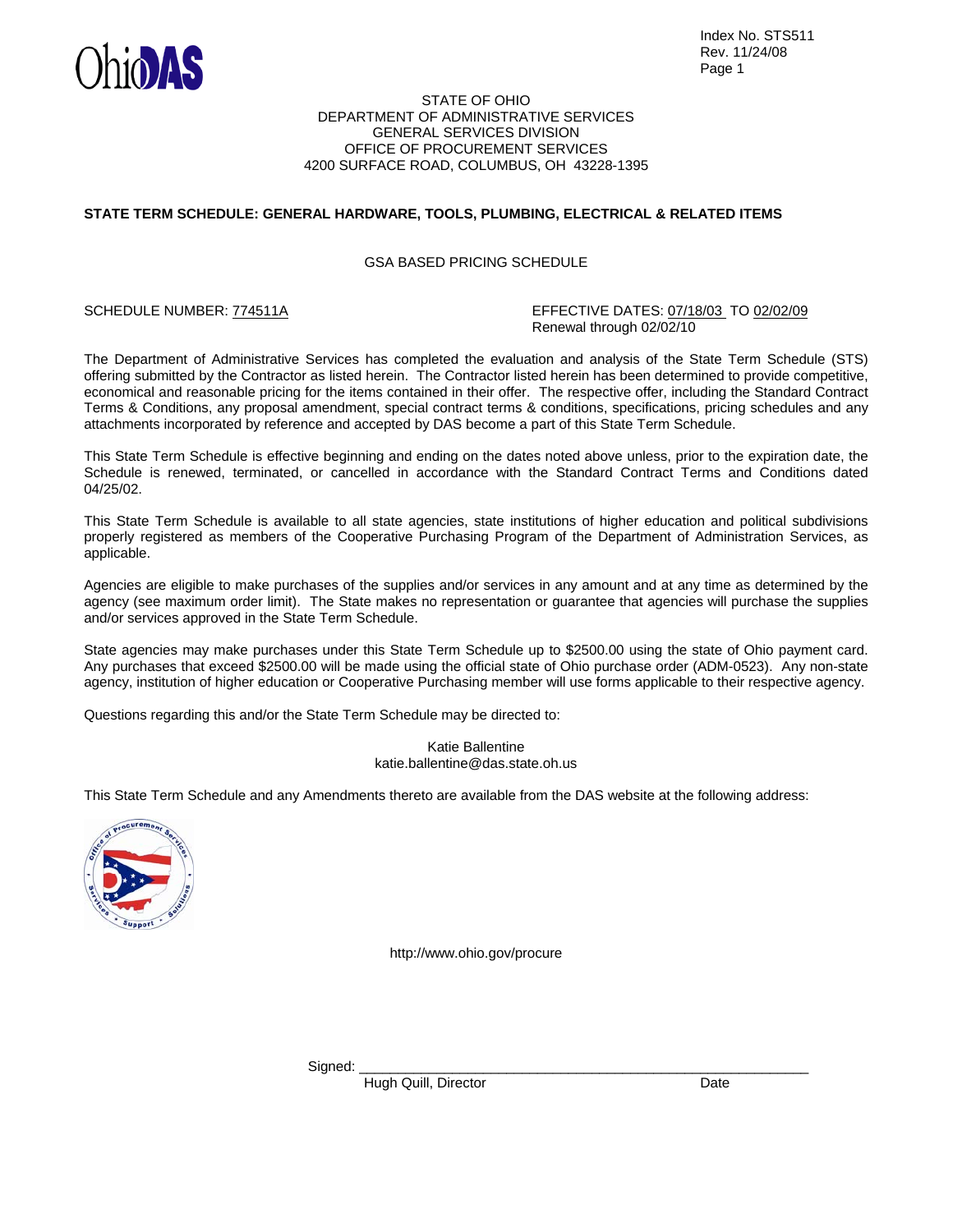

#### STATE OF OHIO DEPARTMENT OF ADMINISTRATIVE SERVICES GENERAL SERVICES DIVISION OFFICE OF PROCUREMENT SERVICES 4200 SURFACE ROAD, COLUMBUS, OH 43228-1395

# **STATE TERM SCHEDULE: GENERAL HARDWARE, TOOLS, PLUMBING, ELECTRICAL & RELATED ITEMS**

### GSA BASED PRICING SCHEDULE

SCHEDULE NUMBER: 774511A EFFECTIVE DATES: 07/18/03 TO 02/02/09 Renewal through 02/02/10

The Department of Administrative Services has completed the evaluation and analysis of the State Term Schedule (STS) offering submitted by the Contractor as listed herein. The Contractor listed herein has been determined to provide competitive, economical and reasonable pricing for the items contained in their offer. The respective offer, including the Standard Contract Terms & Conditions, any proposal amendment, special contract terms & conditions, specifications, pricing schedules and any attachments incorporated by reference and accepted by DAS become a part of this State Term Schedule.

This State Term Schedule is effective beginning and ending on the dates noted above unless, prior to the expiration date, the Schedule is renewed, terminated, or cancelled in accordance with the Standard Contract Terms and Conditions dated 04/25/02.

This State Term Schedule is available to all state agencies, state institutions of higher education and political subdivisions properly registered as members of the Cooperative Purchasing Program of the Department of Administration Services, as applicable.

Agencies are eligible to make purchases of the supplies and/or services in any amount and at any time as determined by the agency (see maximum order limit). The State makes no representation or guarantee that agencies will purchase the supplies and/or services approved in the State Term Schedule.

State agencies may make purchases under this State Term Schedule up to \$2500.00 using the state of Ohio payment card. Any purchases that exceed \$2500.00 will be made using the official state of Ohio purchase order (ADM-0523). Any non-state agency, institution of higher education or Cooperative Purchasing member will use forms applicable to their respective agency.

Questions regarding this and/or the State Term Schedule may be directed to:

Katie Ballentine katie.ballentine@das.state.oh.us

This State Term Schedule and any Amendments thereto are available from the DAS website at the following address:



http://www.ohio.gov/procure

Signed: \_\_\_\_\_\_\_\_\_\_\_\_\_\_\_\_\_\_\_\_\_\_\_\_\_\_\_\_\_\_\_\_\_\_\_\_\_\_\_\_\_\_\_\_\_\_\_\_\_\_\_\_\_\_\_\_\_\_

Hugh Quill, Director Date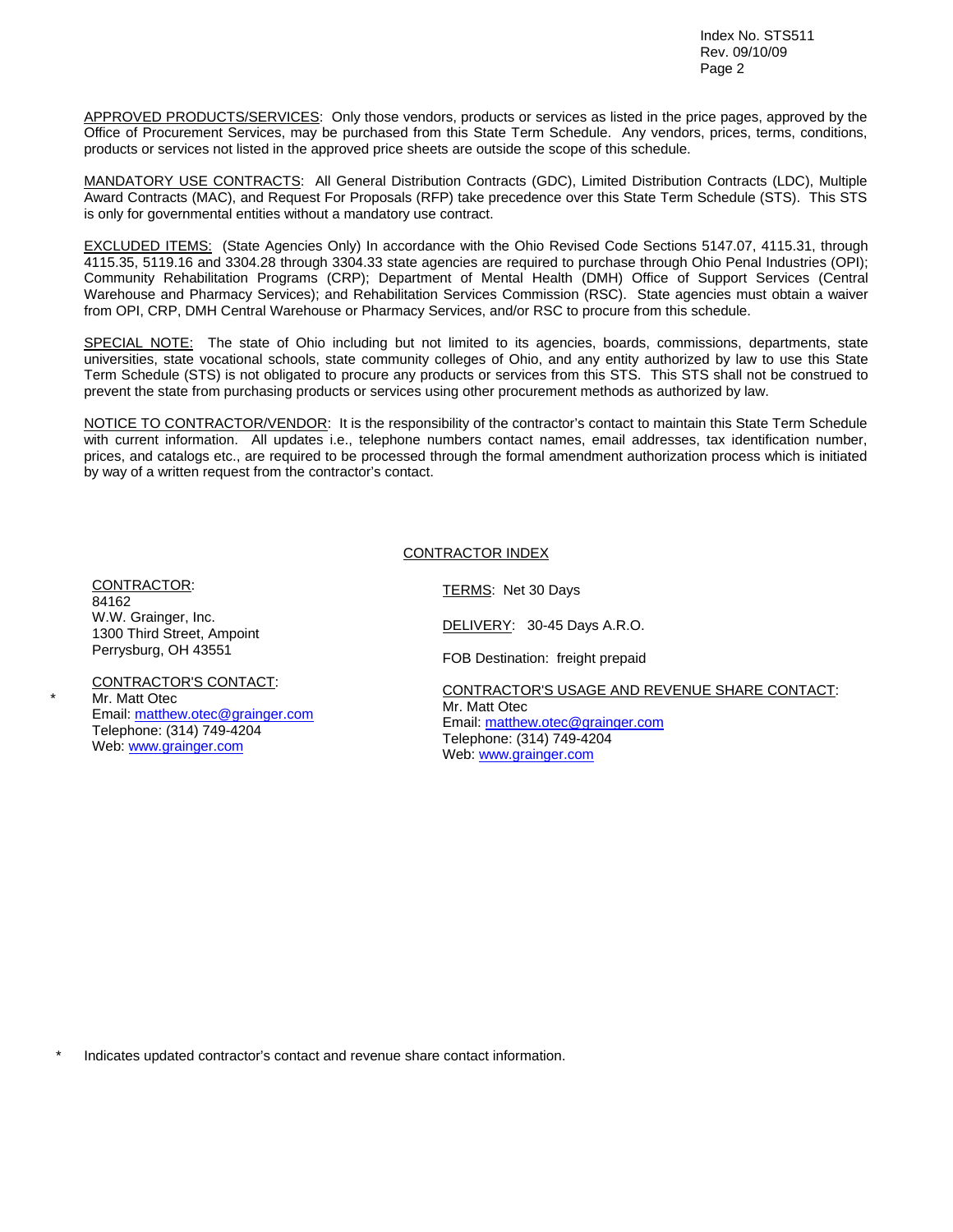APPROVED PRODUCTS/SERVICES: Only those vendors, products or services as listed in the price pages, approved by the Office of Procurement Services, may be purchased from this State Term Schedule. Any vendors, prices, terms, conditions, products or services not listed in the approved price sheets are outside the scope of this schedule.

MANDATORY USE CONTRACTS: All General Distribution Contracts (GDC), Limited Distribution Contracts (LDC), Multiple Award Contracts (MAC), and Request For Proposals (RFP) take precedence over this State Term Schedule (STS). This STS is only for governmental entities without a mandatory use contract.

EXCLUDED ITEMS: (State Agencies Only) In accordance with the Ohio Revised Code Sections 5147.07, 4115.31, through 4115.35, 5119.16 and 3304.28 through 3304.33 state agencies are required to purchase through Ohio Penal Industries (OPI); Community Rehabilitation Programs (CRP); Department of Mental Health (DMH) Office of Support Services (Central Warehouse and Pharmacy Services); and Rehabilitation Services Commission (RSC). State agencies must obtain a waiver from OPI, CRP, DMH Central Warehouse or Pharmacy Services, and/or RSC to procure from this schedule.

SPECIAL NOTE: The state of Ohio including but not limited to its agencies, boards, commissions, departments, state universities, state vocational schools, state community colleges of Ohio, and any entity authorized by law to use this State Term Schedule (STS) is not obligated to procure any products or services from this STS. This STS shall not be construed to prevent the state from purchasing products or services using other procurement methods as authorized by law.

NOTICE TO CONTRACTOR/VENDOR: It is the responsibility of the contractor's contact to maintain this State Term Schedule with current information. All updates i.e., telephone numbers contact names, email addresses, tax identification number, prices, and catalogs etc., are required to be processed through the formal amendment authorization process which is initiated by way of a written request from the contractor's contact.

## CONTRACTOR INDEX

CONTRACTOR: 84162 W.W. Grainger, Inc. 1300 Third Street, Ampoint Perrysburg, OH 43551

\*

CONTRACTOR'S CONTACT: Mr. Matt Otec Email: matthew.otec@grainger.com Telephone: (314) 749-4204 Web: www.grainger.com

TERMS: Net 30 Days

DELIVERY: 30-45 Days A.R.O.

FOB Destination: freight prepaid

CONTRACTOR'S USAGE AND REVENUE SHARE CONTACT: Mr. Matt Otec Email: matthew.otec@grainger.com Telephone: (314) 749-4204 Web: www.grainger.com

Indicates updated contractor's contact and revenue share contact information.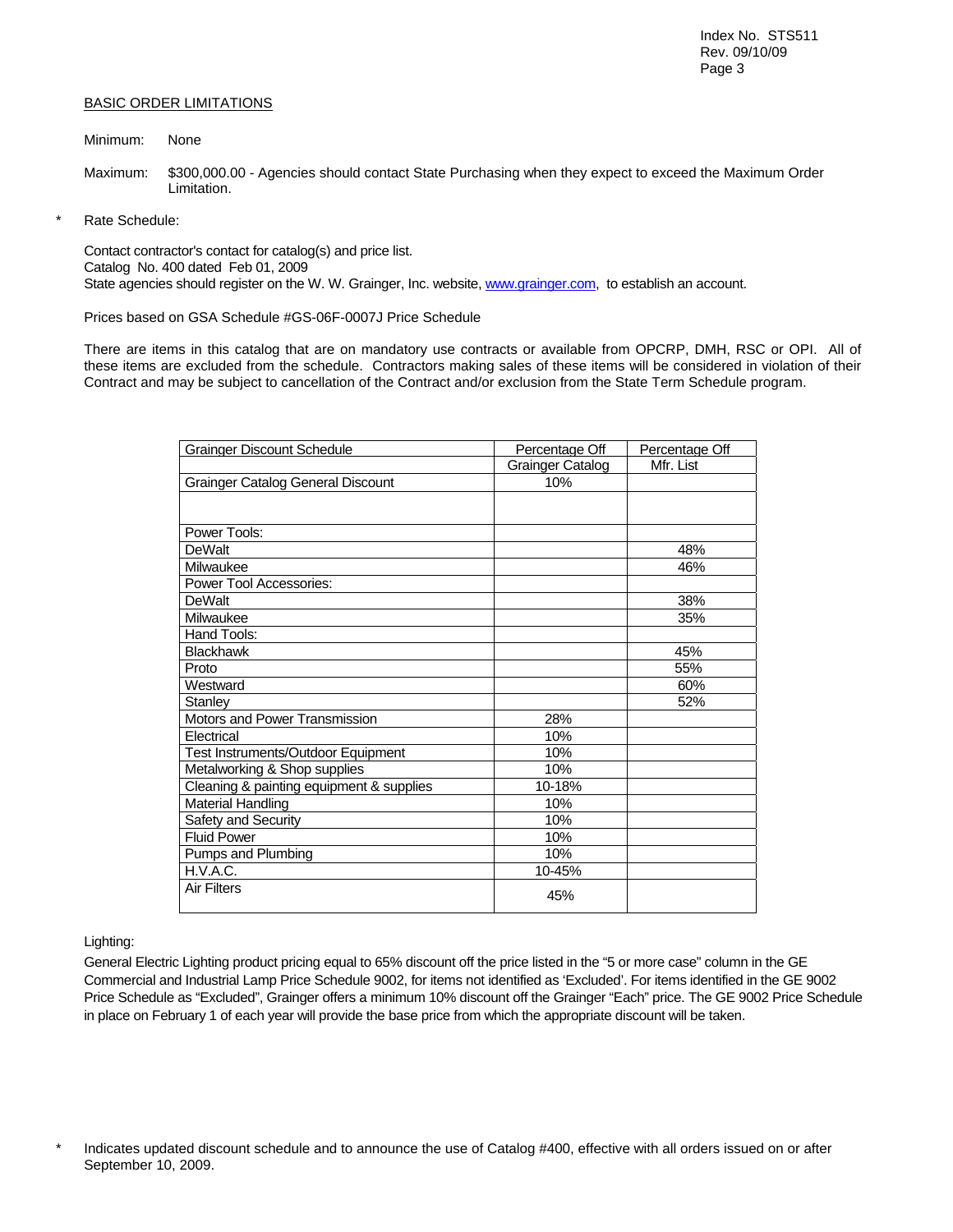## BASIC ORDER LIMITATIONS

#### Minimum: None

- Maximum: \$300,000.00 Agencies should contact State Purchasing when they expect to exceed the Maximum Order Limitation.
- Rate Schedule:

Contact contractor's contact for catalog(s) and price list. Catalog No. 400 dated Feb 01, 2009 State agencies should register on the W. W. Grainger, Inc. website, www.grainger.com, to establish an account.

Prices based on GSA Schedule #GS-06F-0007J Price Schedule

There are items in this catalog that are on mandatory use contracts or available from OPCRP, DMH, RSC or OPI. All of these items are excluded from the schedule. Contractors making sales of these items will be considered in violation of their Contract and may be subject to cancellation of the Contract and/or exclusion from the State Term Schedule program.

| <b>Grainger Discount Schedule</b>        | Percentage Off   | Percentage Off |
|------------------------------------------|------------------|----------------|
|                                          | Grainger Catalog | Mfr. List      |
| Grainger Catalog General Discount        | 10%              |                |
|                                          |                  |                |
|                                          |                  |                |
| Power Tools:                             |                  |                |
| <b>DeWalt</b>                            |                  | 48%            |
| Milwaukee                                |                  | 46%            |
| Power Tool Accessories:                  |                  |                |
| <b>DeWalt</b>                            |                  | 38%            |
| Milwaukee                                |                  | 35%            |
| Hand Tools:                              |                  |                |
| <b>Blackhawk</b>                         |                  | 45%            |
| Proto                                    |                  | 55%            |
| Westward                                 |                  | 60%            |
| Stanley                                  |                  | 52%            |
| Motors and Power Transmission            | 28%              |                |
| Electrical                               | 10%              |                |
| Test Instruments/Outdoor Equipment       | 10%              |                |
| Metalworking & Shop supplies             | 10%              |                |
| Cleaning & painting equipment & supplies | 10-18%           |                |
| <b>Material Handling</b>                 | 10%              |                |
| Safety and Security                      | 10%              |                |
| <b>Fluid Power</b>                       | 10%              |                |
| Pumps and Plumbing                       | 10%              |                |
| H.V.A.C.                                 | 10-45%           |                |
| <b>Air Filters</b>                       | 45%              |                |

### Lighting:

General Electric Lighting product pricing equal to 65% discount off the price listed in the "5 or more case" column in the GE Commercial and Industrial Lamp Price Schedule 9002, for items not identified as 'Excluded'. For items identified in the GE 9002 Price Schedule as "Excluded", Grainger offers a minimum 10% discount off the Grainger "Each" price. The GE 9002 Price Schedule in place on February 1 of each year will provide the base price from which the appropriate discount will be taken.

Indicates updated discount schedule and to announce the use of Catalog #400, effective with all orders issued on or after September 10, 2009.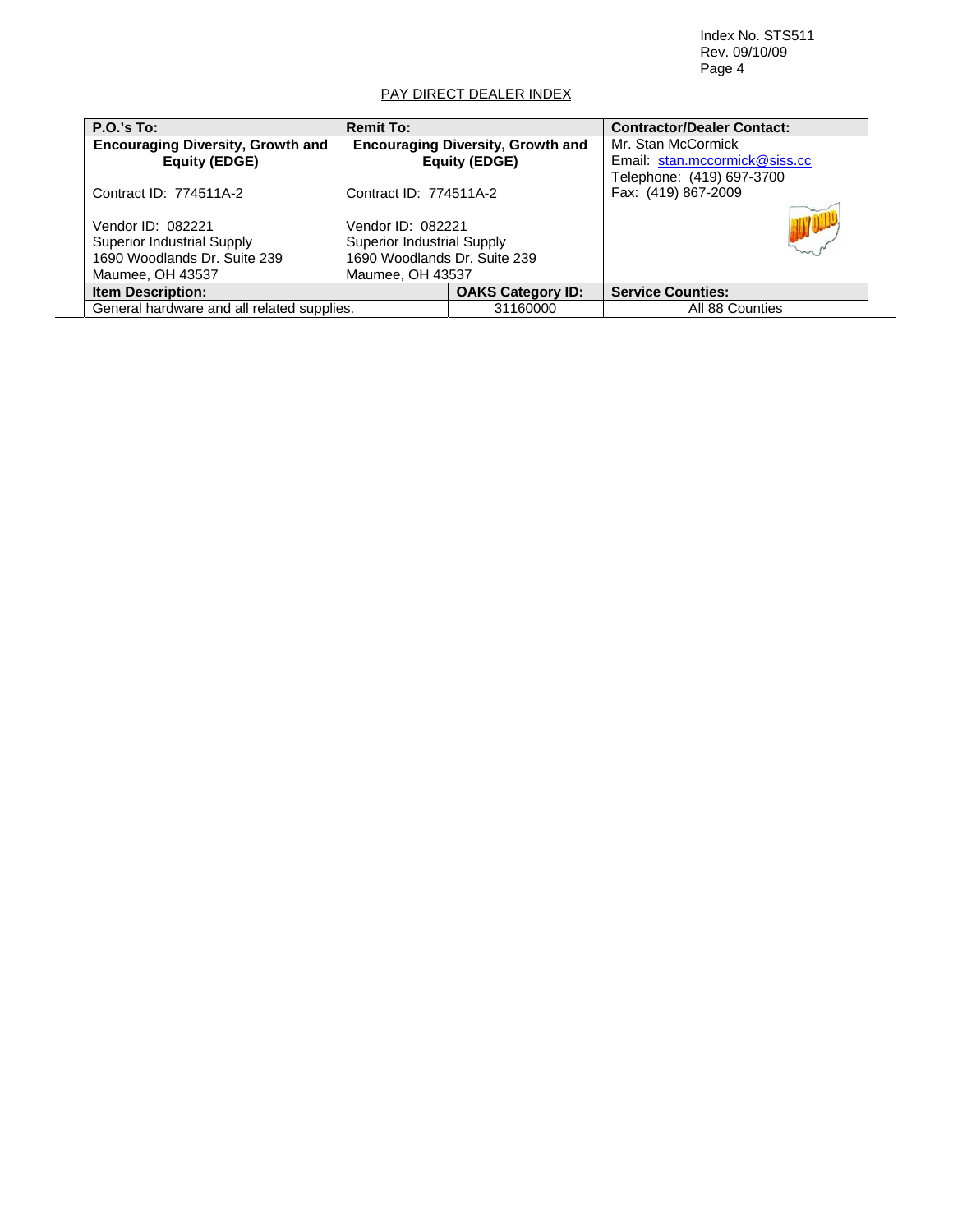Index No. STS511 Rev. 09/10/09 Page 4

 $\overline{\phantom{a}}$ 

# PAY DIRECT DEALER INDEX

| <b>P.O.'s To:</b>                                                                                          | <b>Remit To:</b>                                                                                           |                          | <b>Contractor/Dealer Contact:</b> |
|------------------------------------------------------------------------------------------------------------|------------------------------------------------------------------------------------------------------------|--------------------------|-----------------------------------|
| <b>Encouraging Diversity, Growth and</b>                                                                   | <b>Encouraging Diversity, Growth and</b>                                                                   |                          | Mr. Stan McCormick                |
| <b>Equity (EDGE)</b>                                                                                       | Email: stan.mccormick@siss.cc<br><b>Equity (EDGE)</b>                                                      |                          |                                   |
|                                                                                                            |                                                                                                            |                          | Telephone: (419) 697-3700         |
| Contract ID: 774511A-2                                                                                     | Contract ID: 774511A-2                                                                                     |                          | Fax: (419) 867-2009               |
| Vendor ID: 082221<br><b>Superior Industrial Supply</b><br>1690 Woodlands Dr. Suite 239<br>Maumee, OH 43537 | Vendor ID: 082221<br><b>Superior Industrial Supply</b><br>1690 Woodlands Dr. Suite 239<br>Maumee, OH 43537 |                          |                                   |
| <b>Item Description:</b>                                                                                   |                                                                                                            | <b>OAKS Category ID:</b> | <b>Service Counties:</b>          |
| General hardware and all related supplies.                                                                 |                                                                                                            | 31160000                 | All 88 Counties                   |